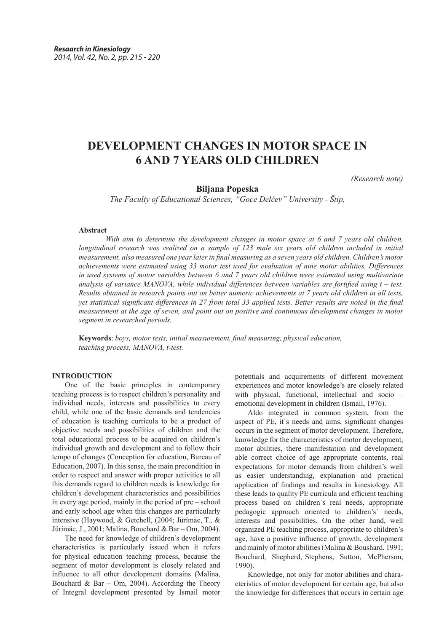# **DEVELOPMENT CHANGES IN MOTOR SPACE IN 6 AND 7 YEARS OLD CHILDREN**

*(Research note)*

## **Biljana Popeska**

*The Faculty of Educational Sciences, "Goce Delčev" University - Štip,*

#### **Abstract**

*With aim to determine the development changes in motor space at 6 and 7 years old children, longitudinal research was realized on a sample of 123 male six years old children included in initial measurement, also measured one year later in final measuring as a seven years old children. Children's motor achievements were estimated using 33 motor test used for evaluation of nine motor abilities. Differences in used systems of motor variables between 6 and 7 years old children were estimated using multivariate analysis of variance MANOVA, while individual differences between variables are fortified using t – test. Results obtained in research points out on better numeric achievements at 7 years old children in all tests, yet statistical significant differences in 27 from total 33 applied tests. Better results are noted in the final measurement at the age of seven, and point out on positive and continuous development changes in motor segment in researched periods.* 

**Keywords**: *boys, motor tests, initial measurement, final measuring, physical education, teaching process, MANOVA, t-test.*

### **INTRODUCTION**

One of the basic principles in contemporary teaching process is to respect children's personality and individual needs, interests and possibilities to every child, while one of the basic demands and tendencies of education is teaching curricula to be a product of objective needs and possibilities of children and the total educational process to be acquired on children's individual growth and development and to follow their tempo of changes (Conception for education, Bureau of Education, 2007). In this sense, the main precondition in order to respect and answer with proper activities to all this demands regard to children needs is knowledge for children's development characteristics and possibilities in every age period, mainly in the period of pre – school and early school age when this changes are particularly intensive (Haywood, & Getchell, (2004; Jürimäe, T., & Jürimäe, J., 2001; Malina, Bouchard & Bar – Om, 2004).

The need for knowledge of children's development characteristics is particularly issued when it refers for physical education teaching process, because the segment of motor development is closely related and influence to all other development domains (Malina, Bouchard  $& Bar - Om, 2004$ . According the Theory of Integral development presented by Ismail motor potentials and acquirements of different movement experiences and motor knowledge's are closely related with physical, functional, intellectual and socio – emotional development in children (Ismail, 1976).

Aldo integrated in common system, from the aspect of PE, it`s needs and aims, significant changes occurs in the segment of motor development. Therefore, knowledge for the characteristics of motor development, motor abilities, there manifestation and development able correct choice of age appropriate contents, real expectations for motor demands from children's well as easier understanding, explanation and practical application of findings and results in kinesiology. All these leads to quality PE curricula and efficient teaching process based on children`s real needs, appropriate pedagogic approach oriented to children's` needs, interests and possibilities. On the other hand, well organized PE teaching process, appropriate to children's age, have a positive influence of growth, development and mainly of motor abilities (Malina & Boushard, 1991; Bouchard, Shepherd, Stephens, Sutton, McPherson, 1990).

Knowledge, not only for motor abilities and characteristics of motor development for certain age, but also the knowledge for differences that occurs in certain age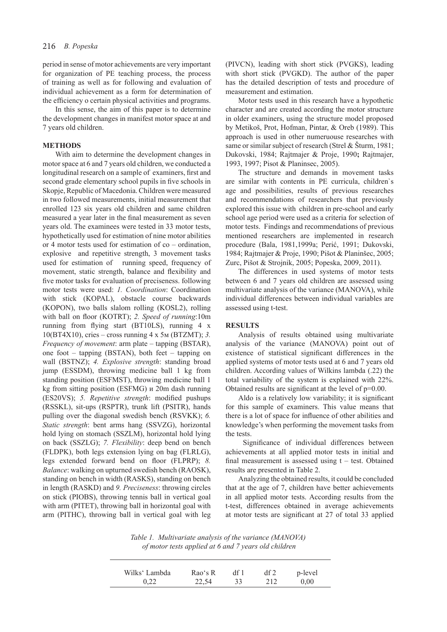period in sense of motor achievements are very important for organization of PE teaching process, the process of training as well as for following and evaluation of individual achievement as a form for determination of the efficiency o certain physical activities and programs.

In this sense, the aim of this paper is to determine the development changes in manifest motor space at and 7 years old children.

## **METHODS**

With aim to determine the development changes in motor space at 6 and 7 years old children, we conducted a longitudinal research on a sample of examiners, first and second grade elementary school pupils in five schools in Skopje, Republic of Macedonia. Children were measured in two followed measurements, initial measurement that enrolled 123 six years old children and same children measured a year later in the final measurement as seven years old. The examinees were tested in 33 motor tests, hypothetically used for estimation of nine motor abilities or 4 motor tests used for estimation of co – ordination, explosive and repetitive strength, 3 movement tasks used for estimation of running speed, frequency of movement, static strength, balance and flexibility and five motor tasks for evaluation of preciseness. following motor tests were used: *1. Coordination*: Coordination with stick (KOPAL), obstacle course backwards (KOPON), two balls slalom rolling (KOSL2), rolling with ball on floor (KOTRT); *2. Speed of running*:10m running from flying start (BT10LS), running 4 х 10(BT4Х10), cries – cross running 4 х 5м (BTZMT); *3. Frequency of movement*: arm plate – tapping (BSTAR), one foot – tapping (BSTAN), both feet – tapping on wall (BSTNZ); *4. Explosive strength*: standing broad jump (ESSDM), throwing medicine ball 1 kg from standing position (ESFMST), throwing medicine ball 1 kg from sitting position (ESFMG) и 20m dash running (ES20VS); *5. Repetitive strength*: modified pushups (RSSKL), sit-ups (RSPTR), trunk lift (PSITR), hands pulling over the diagonal swedish bench (RSVKK); *6. Static strength*: bent arms hang (SSVZG), horizontal hold lying on stomach (SSZLM), horizontal hold lying on back (SSZLG); *7. Flexibility*: deep bend on bench (FLDPK), both legs extension lying on bag (FLRLG), legs extended forward bend on floor (FLPRP); *8. Balance*: walking on upturned swedish bench (RAOSK), standing on bench in width (RASKS), standing on bench in length (RASKD) and *9. Preciseness*: throwing circles on stick (PIOBS), throwing tennis ball in vertical goal with arm (PITET), throwing ball in horizontal goal with arm (PITHC), throwing ball in vertical goal with leg

(PIVCN), leading with short stick (PVGKS), leading with short stick (PVGKD). The author of the paper has the detailed description of tests and procedure of measurement and estimation.

Motor tests used in this research have a hypothetic character and are created according the motor structure in older examiners, using the structure model proposed by Metikoš, Prot, Hofman, Pintar, & Oreb (1989). This approach is used in other numeruouse researches with same or similar subject of research (Strel & Šturm, 1981; Dukovski, 1984; Rajtmajer & Proje, 1990**;** Rajtmajer, 1993, 1997; Pisot & Planinsec, 2005).

The structure and demands in movement tasks are similar with contents in PE curricula, children`s age and possibilities, results of previous researches and recommendations of researchers that previously explored this issue with children in pre-school and early school age period were used as a criteria for selection of motor tests. Findings and recommendations of previous mentioned researchers are implemented in research procedure (Bala, 1981,1999a; Perić, 1991; Dukovski, 1984; Rajtmajer & Proje, 1990; Pišot & Planinšec, 2005; Zurc, Pišot & Strojnik, 2005; Popeska, 2009, 2011).

The differences in used systems of motor tests between 6 and 7 years old children are assessed using multivariate analysis of the variance (MANOVA), while individual differences between individual variables are assessed using t-test.

#### **RESULTS**

Analysis of results obtained using multivariate analysis of the variance (MANOVA) point out of existence of statistical significant differences in the applied systems of motor tests used at 6 and 7 years old children. According values of Wilkins lambda (.22) the total variability of the system is explained with 22%. Obtained results are significant at the level of p=0.00.

Aldo is a relatively low variability; it is significant for this sample of examiners. This value means that there is a lot of space for influence of other abilities and knowledge's when performing the movement tasks from the tests.

 Significance of individual differences between achievements at all applied motor tests in initial and final measurement is assessed using  $t - test$ . Obtained results are presented in Table 2.

Analyzing the obtained results, it could be concluded that at the age of 7, children have better achievements in all applied motor tests. According results from the t-test, differences obtained in average achievements at motor tests are significant at 27 of total 33 applied

*Table 1. Multivariate analysis of the variance (MANOVA) of motor tests applied at 6 and 7 years old children*

| Wilks' Lambda | Rao's R | df 1 | df2 | p-level |
|---------------|---------|------|-----|---------|
| 0.22          | 22,54   | 33   | 212 | 0.00    |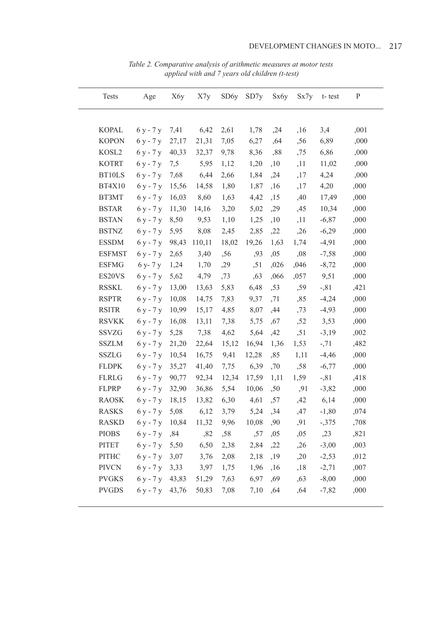| <b>Tests</b>  | Age                        | X6y   | X7y    | SD6y  | SD7y  | Sx6y | Sx7y | t-test  | P    |
|---------------|----------------------------|-------|--------|-------|-------|------|------|---------|------|
|               |                            |       |        |       |       |      |      |         |      |
| <b>KOPAL</b>  | $6y - 7y$                  | 7,41  | 6,42   | 2,61  | 1,78  | , 24 | ,16  | 3,4     | ,001 |
| <b>KOPON</b>  | $6y - 7y$                  | 27,17 | 21,31  | 7,05  | 6,27  | ,64  | ,56  | 6,89    | ,000 |
| KOSL2         | $6y - 7y$                  | 40,33 | 32,37  | 9,78  | 8,36  | ,88  | ,75  | 6,86    | ,000 |
| <b>KOTRT</b>  | $6y - 7y$                  | 7,5   | 5,95   | 1,12  | 1,20  | ,10  | ,11  | 11,02   | ,000 |
| BT10LS        | $6y - 7y$                  | 7,68  | 6,44   | 2,66  | 1,84  | ,24  | ,17  | 4,24    | ,000 |
| <b>BT4X10</b> | $6y - 7y$                  | 15,56 | 14,58  | 1,80  | 1,87  | ,16  | ,17  | 4,20    | ,000 |
| BT3MT         | $6y - 7y$                  | 16,03 | 8,60   | 1,63  | 4,42  | ,15  | ,40  | 17,49   | ,000 |
| <b>BSTAR</b>  | $6y - 7y$                  | 11,30 | 14,16  | 3,20  | 5,02  | ,29  | ,45  | 10,34   | ,000 |
| <b>BSTAN</b>  | $6y - 7y$                  | 8,50  | 9,53   | 1,10  | 1,25  | ,10  | ,11  | $-6,87$ | ,000 |
| <b>BSTNZ</b>  | $6y - 7y$                  | 5,95  | 8,08   | 2,45  | 2,85  | ,22  | ,26  | $-6,29$ | ,000 |
| <b>ESSDM</b>  | $6y - 7y$                  | 98,43 | 110,11 | 18,02 | 19,26 | 1,63 | 1,74 | $-4,91$ | ,000 |
| <b>ESFMST</b> | 6 y - 7 y                  | 2,65  | 3,40   | ,56   | ,93   | ,05  | ,08  | $-7,58$ | ,000 |
| <b>ESFMG</b>  | 6 y- 7 y                   | 1,24  | 1,70   | ,29   | , 51  | ,026 | ,046 | $-8,72$ | ,000 |
| ES20VS        | $6y - 7y$                  | 5,62  | 4,79   | ,73   | ,63   | ,066 | ,057 | 9,51    | ,000 |
| <b>RSSKL</b>  | $6y - 7y$                  | 13,00 | 13,63  | 5,83  | 6,48  | ,53  | ,59  | $-0.81$ | ,421 |
| <b>RSPTR</b>  | $6y - 7y$                  | 10,08 | 14,75  | 7,83  | 9,37  | ,71  | ,85  | $-4,24$ | ,000 |
| <b>RSITR</b>  | $6y - 7y$                  | 10,99 | 15,17  | 4,85  | 8,07  | ,44  | ,73  | $-4,93$ | ,000 |
| <b>RSVKK</b>  | 6 y - 7 y                  | 16,08 | 13,11  | 7,38  | 5,75  | ,67  | ,52  | 3,53    | ,000 |
| SSVZG         | $6y - 7y$                  | 5,28  | 7,38   | 4,62  | 5,64  | ,42  | ,51  | $-3,19$ | ,002 |
| <b>SSZLM</b>  | 6 y - 7 y                  | 21,20 | 22,64  | 15,12 | 16,94 | 1,36 | 1,53 | $-71$   | ,482 |
| <b>SSZLG</b>  | $6y - 7y$                  | 10,54 | 16,75  | 9,41  | 12,28 | ,85  | 1,11 | $-4,46$ | ,000 |
| <b>FLDPK</b>  | 6 y - 7 y                  | 35,27 | 41,40  | 7,75  | 6,39  | ,70  | ,58  | $-6,77$ | ,000 |
| <b>FLRLG</b>  | $6y - 7y$                  | 90,77 | 92,34  | 12,34 | 17,59 | 1,11 | 1,59 | $-0.81$ | ,418 |
| <b>FLPRP</b>  | $6y - 7y$                  | 32,90 | 36,86  | 5,54  | 10,06 | ,50  | ,91  | $-3,82$ | ,000 |
| <b>RAOSK</b>  | $6y - 7y$                  | 18,15 | 13,82  | 6,30  | 4,61  | ,57  | ,42  | 6,14    | ,000 |
| <b>RASKS</b>  | $6y - 7y$                  | 5,08  | 6,12   | 3,79  | 5,24  | ,34  | ,47  | $-1,80$ | ,074 |
| <b>RASKD</b>  | $6y - 7y$ 10,84 11,32 9,96 |       |        |       | 10,08 | ,90  | ,91  | $-375$  | ,708 |
| <b>PIOBS</b>  | 6 y - 7 y                  | ,84   | ,82    | ,58   | ,57   | ,05  | ,05  | , 23    | ,821 |
| PITET         | $6y - 7y = 5,50$           |       | 6,50   | 2,38  | 2,84  | ,22  | ,26  | $-3,00$ | ,003 |
| PITHC         | $6y - 7y = 3,07$           |       | 3,76   | 2,08  | 2,18  | ,19  | ,20  | $-2,53$ | ,012 |
| <b>PIVCN</b>  | $6y - 7y$ 3,33             |       | 3,97   | 1,75  | 1,96  | ,16  | ,18  | $-2,71$ | ,007 |
| <b>PVGKS</b>  | $6y - 7y$ 43,83            |       | 51,29  | 7,63  | 6,97  | ,69  | ,63  | $-8,00$ | ,000 |
| <b>PVGDS</b>  | $6y - 7y$ 43,76            |       | 50,83  | 7,08  | 7,10  | ,64  | ,64  | $-7,82$ | ,000 |
|               |                            |       |        |       |       |      |      |         |      |

Table 2. Comparative analysis of arithmetic measures at motor tests<br>applied with and 7 years old children (t-test)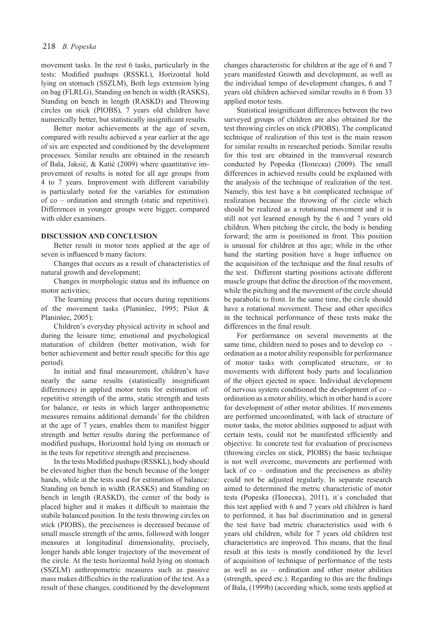movement tasks. In the rest 6 tasks, particularly in the tests: Modified pushups (RSSKL), Horizontal hold lying on stomach (SSZLM), Both legs extension lying on bag (FLRLG), Standing on bench in width (RASKS), Standing on bench in length (RASKD) and Throwing circles on stick (PIOBS), 7 years old children have numerically better, but statistically insignificant results.

Better motor achievements at the age of seven, compared with results achieved a year earlier at the age of six are expected and conditioned by the development processes. Similar results are obtained in the research of Bala, Jaksić, & Katić (2009) where quantitative improvement of results is noted for all age groups from 4 to 7 years. Improvement with different variability is particularly noted for the variables for estimation of co – ordination and strength (static and repetitive). Differences in younger groups were bigger, compared with older examiners.

#### **DISCUSSION AND CONCLUSION**

Better result in motor tests applied at the age of seven is influenced b many factors:

Changes that occurs as a result of characteristics of natural growth and development;

Changes in morphologic status and its influence on motor activities;

The learning process that occurs during repetitions of the movement tasks (Planinšec, 1995; Pišot & Planinšec, 2005);

Children's everyday physical activity in school and during the leisure time; emotional and psychological maturation of children (better motivation, wish for better achievement and better result specific for this age period).

In initial and final measurement, children's have nearly the same results (statistically insignificant differences) in applied motor tests for estimation of: repetitive strength of the arms, static strength and tests for balance, or tests in which larger anthropometric measures remains additional demands' for the children at the age of 7 years, enables them to manifest bigger strength and better results during the performance of modified pushups, Horizontal hold lying on stomach or in the tests for repetitive strength and preciseness.

In the tests Modified pushups (RSSKL), body should be elevated higher than the bench because of the longer hands, while at the tests used for estimation of balance: Standing on bench in width (RASKS) and Standing on bench in length (RASKD), the center of the body is placed higher and it makes it difficult to maintain the stabile balanced position. In the tests throwing circles on stick (PIOBS), the preciseness is decreased because of small muscle strength of the arms, followed with longer measures at longitudinal dimensionality, precisely, longer hands able longer trajectory of the movement of the circle. At the tests horizontal hold lying on stomach (SSZLM) anthropometric measures such as passive mass makes difficulties in the realization of the test. As a result of these changes, conditioned by the development changes characteristic for children at the age of 6 and 7 years manifested Growth and development, as well as the individual tempo of development changes, 6 and 7 years old children achieved similar results in 6 from 33 applied motor tests.

Statistical insignificant differences between the two surveyed groups of children are also obtained for the test throwing circles on stick (PIOBS). The complicated technique of realization of this test is the main reason for similar results in researched periods. Similar results for this test are obtained in the transversal research conducted by Popeska (Попеска) (2009). The small differences in achieved results could be explained with the analysis of the technique of realization of the test. Namely, this test have a bit complicated technique of realization because the throwing of the circle which should be realized as a rotational movement and it is still not yet learned enough by the 6 and 7 years old children. When pitching the circle, the body is bending forward; the arm is positioned in front. This position is unusual for children at this age; while in the other hand the starting position have a huge influence on the acquisition of the technique and the final results of the test. Different starting positions activate different muscle groups that define the direction of the movement, while the pitching and the movement of the circle should be parabolic to front. In the same time, the circle should have a rotational movement. These and other specifics in the technical performance of these tests make the differences in the final result.

For performance on several movements at the same time, children need to poses and to develop co ordination as a motor ability responsible for performance of motor tasks with complicated structure, or to movements with different body parts and localization of the object ejected in space. Individual development of nervous system conditioned the development of co – ordination as a motor ability, which in other hand is a core for development of other motor abilities. If movements are performed uncoordinated, with lack of structure of motor tasks, the motor abilities supposed to adjust with certain tests, could not be manifested efficiently and objective. In concrete test for evaluation of preciseness (throwing circles on stick, PIOBS) the basic technique is not well overcome, movements are performed with lack of co – ordination and the preciseness as ability could not be adjusted regularly. In separate research aimed to determined the metric characteristic of motor tests (Popeska (Попеска), 2011), it`s concluded that this test applied with 6 and 7 years old children is hard to performed, it has bal discrimination and in general the test have bad metric characteristics used with 6 years old children, while for 7 years old children test characteristics are improved. This means, that the final result at this tests is mostly conditioned by the level of acquisition of technique of performance of the tests as well as co – ordination and other motor abilities (strength, speed etc.). Regarding to this are the findings of Bala, (1999b) (according which, some tests applied at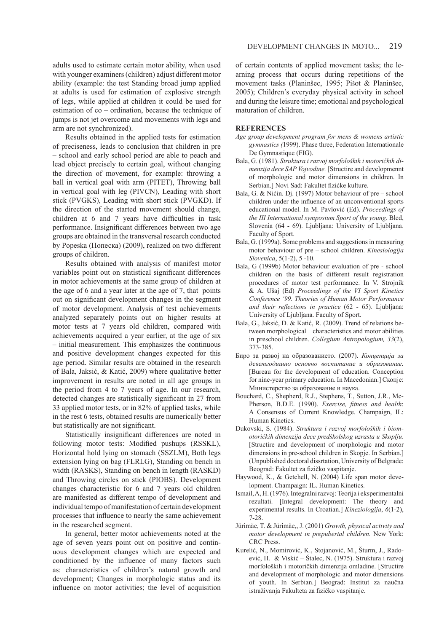adults used to estimate certain motor ability, when used with younger examiners (children) adjust different motor ability (example: the test Standing broad jump applied at adults is used for estimation of explosive strength of legs, while applied at children it could be used for estimation of co – ordination, because the technique of jumps is not jet overcome and movements with legs and arm are not synchronized).

Results obtained in the applied tests for estimation of preciseness, leads to conclusion that children in pre – school and early school period are able to peach and lead object precisely to certain goal, without changing the direction of movement, for example: throwing a ball in vertical goal with arm (PITET), Throwing ball in vertical goal with leg (PIVCN), Leading with short stick (PVGKS), Leading with short stick (PVGKD). If the direction of the started movement should change, children at 6 and 7 years have difficulties in task performance. Insignificant differences between two age groups are obtained in the transversal research conducted by Popeska (Попеска) (2009), realized on two different groups of children.

Results obtained with analysis of manifest motor variables point out on statistical significant differences in motor achievements at the same group of children at the age of 6 and a year later at the age of 7, that points out on significant development changes in the segment of motor development. Analysis of test achievements analyzed separately points out on higher results at motor tests at 7 years old children, compared with achievements acquired a year earlier, at the age of six – initial measurement. This emphasizes the continuous and positive development changes expected for this age period. Similar results are obtained in the research of Bala, Jaksić, & Katić, 2009) where qualitative better improvement in results are noted in all age groups in the period from 4 to 7 years of age. In our research, detected changes are statistically significant in 27 from 33 applied motor tests, or in 82% of applied tasks, while in the rest 6 tests, obtained results are numerically better but statistically are not significant.

Statistically insignificant differences are noted in following motor tests: Modified pushups (RSSKL), Horizontal hold lying on stomach (SSZLM), Both legs extension lying on bag (FLRLG), Standing on bench in width (RASKS), Standing on bench in length (RASKD) and Throwing circles on stick (PIOBS). Development changes characteristic for 6 and 7 years old children are manifested as different tempo of development and individual tempo of manifestation of certain development processes that influence to nearly the same achievement in the researched segment.

In general, better motor achievements noted at the age of seven years point out on positive and continuous development changes which are expected and conditioned by the influence of many factors such as: characteristics of children's natural growth and development; Changes in morphologic status and its influence on motor activities; the level of acquisition

of certain contents of applied movement tasks; the learning process that occurs during repetitions of the movement tasks (Planinšec, 1995; Pišot & Planinšec, 2005); Children's everyday physical activity in school and during the leisure time; emotional and psychological maturation of children.

219

### **REFERENCES**

- *Age group development program for mens & womens artistic gymnastics (*1999). Phase three, Federation Internationale De Gymnastique (FIG).
- Bala, G. (1981). *Struktura i razvoj morfoloških i motorićkih dimenzija dece SAP Vojvodine.* [Structire and developmennt of morphologic and motor dimensions in children. In Serbian.] Novi Sad: Fakultet fizićke kulture.
- Bala, G. & Nićin. Dj. (1997) Motor behaviour of pre school children under the influence of an unconventional sports educational model. In M. Pavlović (Ed). *Proceedings of the III International symposium Sport of the young*. Bled, Slovenia (64 - 69). Ljubljana: University of Ljubljana. Faculty of Sport.
- Bala, G. (1999a). Some problems and suggestions in measuring motor behaviour of pre – school children. *Kinesiologija Slovenica*, 5(1-2), 5 -10.
- Bala, G (1999b) Motor behaviour evaluation of pre school children on the basis of different result registration procedures of motor test performance. In V. Strojnik & A. Ušaj (Ed) *Proceedings of the VI Sport Kinetics Conference '99. Theories of Human Motor Performance and their reflections in practice* (62 - 65). Ljubljana: University of Ljubljana. Faculty of Sport.
- Bala, G., Jaksić, D. & Katić, R. (2009). Trend of relations between morphological characteristics and motor abilities in preschool children. *Collegium Antropologium, 33*(2), 373-385.
- Биро за развој на образованието. (2007). *Концепција за деветгодишно основно воспитание и образование.*  [Bureau for the development of education. Conception for nine-year primary education. In Macedonian.] Скопје: Министерство за образование и наука.
- Bouchard, C., Shepherd, R.J., Stephens, T., Sutton, J.R., Mc-Pherson, B.D.E. (1990). *Exercise, fitness and health*: A Consensus of Current Knowledge. Champaign, IL: Human Kinetics.
- Dukovski, S. (1984). *Struktura i razvoj morfoloških i biomotoričkih dimenzija dece predškolskog uzrasta u Skoplju*. [Structire and development of morphologic and motor dimensions in pre-school children in Skopje. In Serbian.] (Unpublished doctoral dissrtation, University of Belgrade: Beograd: Fakultet za fizičko vaspitanje.
- Haywood, K., & Getchell, N. (2004) Life span motor development. Champaign: IL. Human Kinetics.
- Ismail, A, H. (1976). Integralni razvoj: Teorija i eksperimentalni rezultati. [Integral development: The theory and experimental results. In Croatian.] *Kineziologija*, *6*(1-2), 7-28.
- Jürimäe, T. & Jürimäe,, J. (2001) *Growth, physical activity and motor development in prepubertal children.* New York: CRC Press.
- Kurelić, N., Momirović, K., Stojanović, M., Šturm, J., Radoević, H. & Viskić – Štalec, N. (1975). Struktura i razvoj morfoloških i motoričkih dimenzija omladine. [Structire and development of morphologic and motor dimensions of youth. In Serbian.] Beograd: Institut za naučna istraživanja Fakulteta za fizičko vaspitanje.